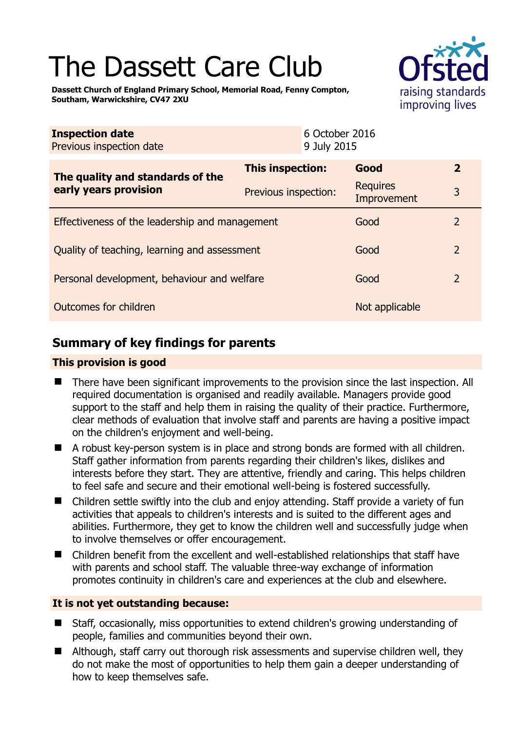# The Dassett Care Club



**Dassett Church of England Primary School, Memorial Road, Fenny Compton, Southam, Warwickshire, CV47 2XU** 

| <b>Inspection date</b><br>Previous inspection date        |                      | 6 October 2016<br>9 July 2015 |                                |                         |
|-----------------------------------------------------------|----------------------|-------------------------------|--------------------------------|-------------------------|
| The quality and standards of the<br>early years provision | This inspection:     |                               | Good                           | $\overline{\mathbf{2}}$ |
|                                                           | Previous inspection: |                               | <b>Requires</b><br>Improvement | 3                       |
| Effectiveness of the leadership and management            |                      |                               | Good                           | $\overline{2}$          |
| Quality of teaching, learning and assessment              |                      |                               | Good                           | $\overline{2}$          |
| Personal development, behaviour and welfare               |                      |                               | Good                           | $\overline{2}$          |
| Outcomes for children                                     |                      |                               | Not applicable                 |                         |

# **Summary of key findings for parents**

### **This provision is good**

- There have been significant improvements to the provision since the last inspection. All required documentation is organised and readily available. Managers provide good support to the staff and help them in raising the quality of their practice. Furthermore, clear methods of evaluation that involve staff and parents are having a positive impact on the children's enjoyment and well-being.
- A robust key-person system is in place and strong bonds are formed with all children. Staff gather information from parents regarding their children's likes, dislikes and interests before they start. They are attentive, friendly and caring. This helps children to feel safe and secure and their emotional well-being is fostered successfully.
- Children settle swiftly into the club and enjoy attending. Staff provide a variety of fun activities that appeals to children's interests and is suited to the different ages and abilities. Furthermore, they get to know the children well and successfully judge when to involve themselves or offer encouragement.
- Children benefit from the excellent and well-established relationships that staff have with parents and school staff. The valuable three-way exchange of information promotes continuity in children's care and experiences at the club and elsewhere.

## **It is not yet outstanding because:**

- Staff, occasionally, miss opportunities to extend children's growing understanding of people, families and communities beyond their own.
- Although, staff carry out thorough risk assessments and supervise children well, they do not make the most of opportunities to help them gain a deeper understanding of how to keep themselves safe.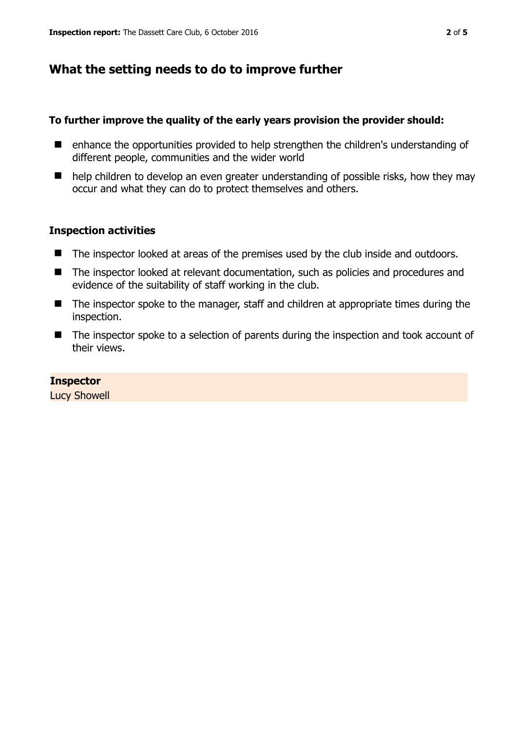# **What the setting needs to do to improve further**

#### **To further improve the quality of the early years provision the provider should:**

- enhance the opportunities provided to help strengthen the children's understanding of different people, communities and the wider world
- help children to develop an even greater understanding of possible risks, how they may occur and what they can do to protect themselves and others.

#### **Inspection activities**

- The inspector looked at areas of the premises used by the club inside and outdoors.
- The inspector looked at relevant documentation, such as policies and procedures and evidence of the suitability of staff working in the club.
- The inspector spoke to the manager, staff and children at appropriate times during the inspection.
- The inspector spoke to a selection of parents during the inspection and took account of their views.

#### **Inspector**

Lucy Showell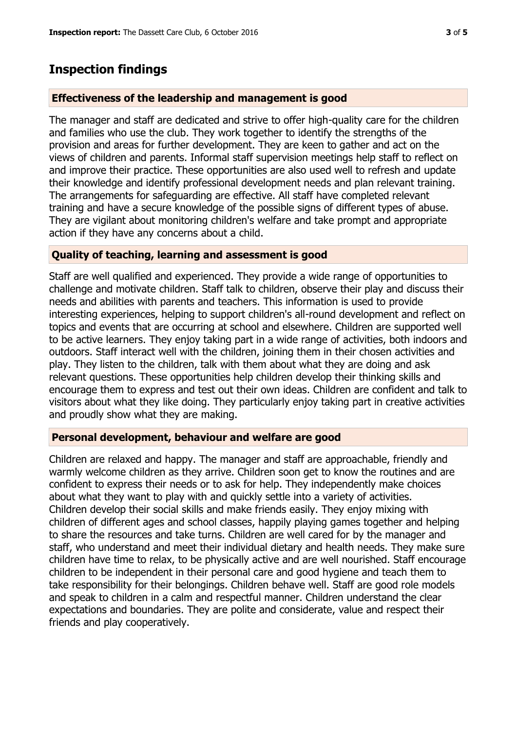## **Inspection findings**

#### **Effectiveness of the leadership and management is good**

The manager and staff are dedicated and strive to offer high-quality care for the children and families who use the club. They work together to identify the strengths of the provision and areas for further development. They are keen to gather and act on the views of children and parents. Informal staff supervision meetings help staff to reflect on and improve their practice. These opportunities are also used well to refresh and update their knowledge and identify professional development needs and plan relevant training. The arrangements for safeguarding are effective. All staff have completed relevant training and have a secure knowledge of the possible signs of different types of abuse. They are vigilant about monitoring children's welfare and take prompt and appropriate action if they have any concerns about a child.

#### **Quality of teaching, learning and assessment is good**

Staff are well qualified and experienced. They provide a wide range of opportunities to challenge and motivate children. Staff talk to children, observe their play and discuss their needs and abilities with parents and teachers. This information is used to provide interesting experiences, helping to support children's all-round development and reflect on topics and events that are occurring at school and elsewhere. Children are supported well to be active learners. They enjoy taking part in a wide range of activities, both indoors and outdoors. Staff interact well with the children, joining them in their chosen activities and play. They listen to the children, talk with them about what they are doing and ask relevant questions. These opportunities help children develop their thinking skills and encourage them to express and test out their own ideas. Children are confident and talk to visitors about what they like doing. They particularly enjoy taking part in creative activities and proudly show what they are making.

#### **Personal development, behaviour and welfare are good**

Children are relaxed and happy. The manager and staff are approachable, friendly and warmly welcome children as they arrive. Children soon get to know the routines and are confident to express their needs or to ask for help. They independently make choices about what they want to play with and quickly settle into a variety of activities. Children develop their social skills and make friends easily. They enjoy mixing with children of different ages and school classes, happily playing games together and helping to share the resources and take turns. Children are well cared for by the manager and staff, who understand and meet their individual dietary and health needs. They make sure children have time to relax, to be physically active and are well nourished. Staff encourage children to be independent in their personal care and good hygiene and teach them to take responsibility for their belongings. Children behave well. Staff are good role models and speak to children in a calm and respectful manner. Children understand the clear expectations and boundaries. They are polite and considerate, value and respect their friends and play cooperatively.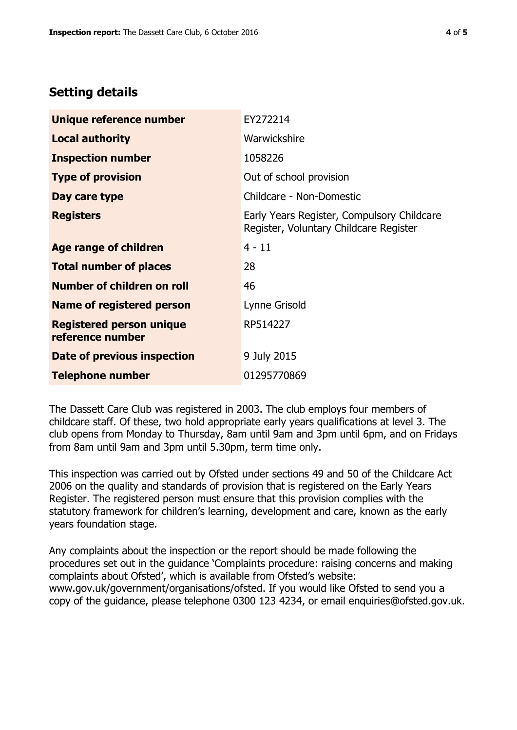## **Setting details**

| Unique reference number                             | EY272214                                                                             |  |
|-----------------------------------------------------|--------------------------------------------------------------------------------------|--|
| <b>Local authority</b>                              | Warwickshire                                                                         |  |
| <b>Inspection number</b>                            | 1058226                                                                              |  |
| <b>Type of provision</b>                            | Out of school provision                                                              |  |
| Day care type                                       | Childcare - Non-Domestic                                                             |  |
| <b>Registers</b>                                    | Early Years Register, Compulsory Childcare<br>Register, Voluntary Childcare Register |  |
| Age range of children                               | $4 - 11$                                                                             |  |
| <b>Total number of places</b>                       | 28                                                                                   |  |
| Number of children on roll                          | 46                                                                                   |  |
| Name of registered person                           | Lynne Grisold                                                                        |  |
| <b>Registered person unique</b><br>reference number | RP514227                                                                             |  |
| <b>Date of previous inspection</b>                  | 9 July 2015                                                                          |  |
| <b>Telephone number</b>                             | 01295770869                                                                          |  |

The Dassett Care Club was registered in 2003. The club employs four members of childcare staff. Of these, two hold appropriate early years qualifications at level 3. The club opens from Monday to Thursday, 8am until 9am and 3pm until 6pm, and on Fridays from 8am until 9am and 3pm until 5.30pm, term time only.

This inspection was carried out by Ofsted under sections 49 and 50 of the Childcare Act 2006 on the quality and standards of provision that is registered on the Early Years Register. The registered person must ensure that this provision complies with the statutory framework for children's learning, development and care, known as the early years foundation stage.

Any complaints about the inspection or the report should be made following the procedures set out in the guidance 'Complaints procedure: raising concerns and making complaints about Ofsted', which is available from Ofsted's website: www.gov.uk/government/organisations/ofsted. If you would like Ofsted to send you a copy of the guidance, please telephone 0300 123 4234, or email enquiries@ofsted.gov.uk.